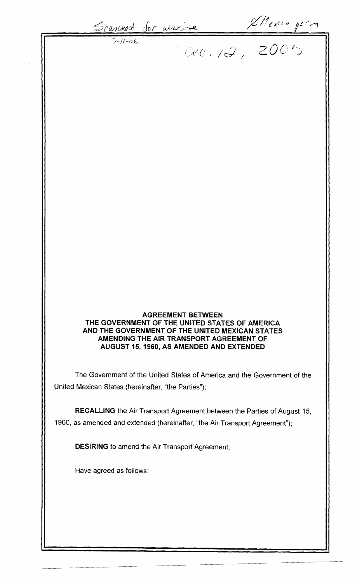Scannod for avoire Shexic perm

### **AGREEMENT BETWEEN THE GOVERNMENT OF THE UNITED STATES OF AMERICA AND THE GOVERNMENT OF THE UNITED MEXICAN STATES AMENDING THE AIR TRANSPORT AGREEMENT OF AUGUST 15, 1960, AS AMENDED AND EXTENDED**

The Government of the United States of America and the Government of the United Mexican States (hereinafter, "the Parties");

**RECALLING** the Air Transport Agreement between the Parties of August 15, 1960, as amended and extended (hereinafter, "the Air Transport Agreement");

**DESIRING** to amend the Air Transport Agreement;

Have agreed as follows: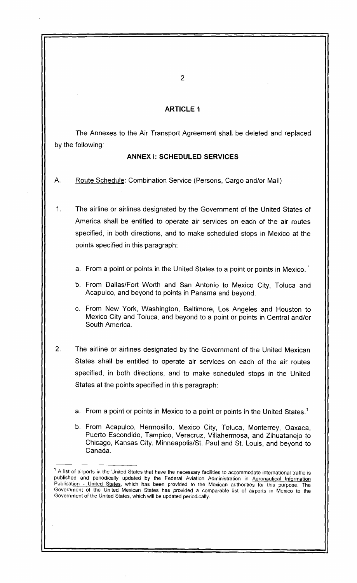## **ARTICLE 1**

The Annexes to the Air Transport Agreement shall be deleted and replaced by the following:

### **ANNEX I: SCHEDULED SERVICES**

A. Route Schedule: Combination Service (Persons, Cargo and/or Mail)

1. The airline or airlines designated by the Government of the United States of America shall be entitled to operate air services on each of the air routes specified, in both directions, and to make scheduled stops in Mexico at the points specified in this paragraph:

- a. From a point or points in the United States to a point or points in Mexico.<sup>1</sup>
- b. From Dallas/Fort Worth and San Antonio to Mexico City, Toluca and Acapulco, and beyond to points in Panama and beyond.
- c. From New York, Washington, Baltimore, Los Angeles and Houston to Mexico City and Toluca, and beyond to a point or points in Central and/or South America.
- 2. The airline or airlines designated by the Government of the United Mexican States shall be entitled to operate air services on each of the air routes specified, in both directions, and to make scheduled stops in the United States at the points specified in this paragraph:
	- a. From a point or points in Mexico to a point or points in the United States.<sup>1</sup>
	- b. From Acapulco, Hermosillo, Mexico City, Toluca, Monterrey, Oaxaca, Puerto Escondido, Tampico, Veracruz, Villahermosa, and Zihuatanejo to Chicago, Kansas City, Minneapolis/St. Paul and St. Louis, and beyond to Canada.

<sup>&</sup>lt;sup>1</sup> A list of airports in the United States that have the necessary facilities to accommodate international traffic is published and periodically updated by the Federal Aviation Administration in Aeronautical Information Publication - United States, which has been provided to the Mexican authorities for this purpose. The Government of the United Mexican States has provided a comparable list of airports in Mexico to the Government of the United States, which will be updated periodically.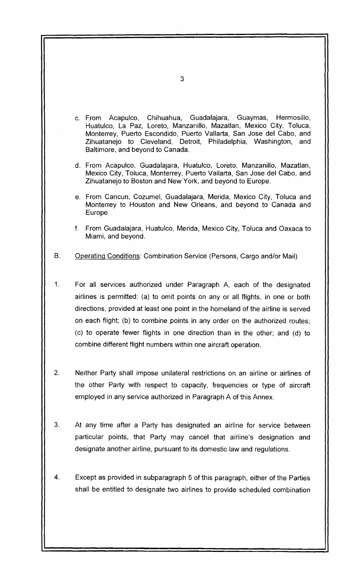c. From Acapulco, Chihuahua, Guadalajara, Guaymas, Hermosillo, Huatulco, La Paz, Loreto, Manzanillo, Mazatlan, Mexico City, Toluca, Monterrey, Puerto Escondido, Puerto Vallarta, San Jose del Cabo, and Zihuatanejo to Cleveland, Detroit, Philadelphia, Washington, and Baltimore, and beyond to Canada. d. From Acapulco, Guadalajara, Huatulco, Loreto, Manzanillo, Mazatlan, Mexico City, Toluca, Monterrey, Puerto Vallarta, San Jose del Cabo, and Zihuatanejo to Boston and New York, and beyond to Europe. e. From Cancun, Cozumel, Guadalajara, Merida, Mexico City, Toluca and Monterrey to Houston and New Orleans, and beyond to Canada and Europe. f. From Guadalajara, Huatulco, Merida, Mexico City, Toluca and Oaxaca to Miami, and beyond. B. Operating Conditions: Combination Service (Persons, Cargo and/or Mail) 1. For all services authorized under Paragraph A, each of the designated airlines is permitted: (a) to omit points on any or all flights, in one or both directions, provided at least one point in the homeland of the airline is served on each flight; (b) to combine points in any order on the authorized routes; (c) to operate fewer flights in one direction than in the other; and (d) to combine different flight numbers within one aircraft operation. 2. Neither Party shall impose unilateral restrictions on an airline or airlines of the other Party with respect to capacity, frequencies or type of aircraft employed in any service authorized in Paragraph A of this Annex. 3. At any time after a Party has designated an airline for service between particular points, that Party may cancel that airline's designation and designate another airline, pursuant to its domestic law and regulations. 4. Except as provided in subparagraph 5 of this paragraph, either of the Parties shall be entitled to designate two alrlines to provide scheduled combination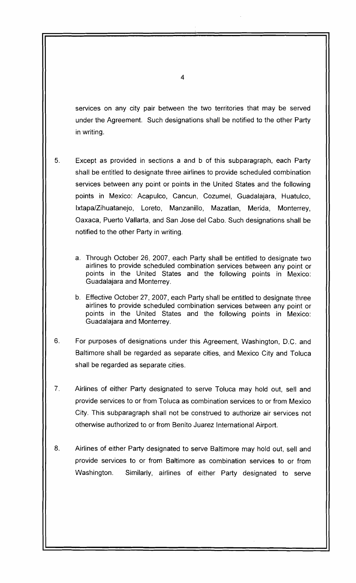services on any city pair between the two territories that may be served under the Agreement. Such designations shall be notified to the other Party in writing.

- 5. Except as provided in sections a and b of this subparagraph, each Party shall be entitled to designate three airlines to provide scheduled combination services between any point or points in the United States and the following points in Mexico: Acapulco, Cancun, Cozumel, Guadalajara, Huatulco, Ixtapa/Zihuatanejo, Loreto, Manzanillo, Mazatlan, Merida, Monterrey, Oaxaca, Puerto Vallarta, and San Jose del Cabo. Such designations shall be notified to the other Party in writing.
	- a. Through October 26, 2007, each Party shall be entitled to designate two airlines to provide scheduled combination services between any point or points in the United States and the following points in Mexico: Guadalajara and Monterrey.
	- b. Effective October 27, 2007, each Party shall be entitled to designate three airlines to provide scheduled combination services between any point or points in the United States and the following points in Mexico: Guadalajara and Monterrey.
- 6. For purposes of designations under this Agreement, Washington, D.C. and Baltimore shall be regarded as separate cities, and Mexico City and Toluca shall be regarded as separate cities.
- 7. Airlines of either Party designated to serve Toluca may hold out, sell and provide services to or from Toluca as combination services to or from Mexico City. This subparagraph shall not be construed to authorize air services not otherwise authorized to or from Benito Juarez International Airport.
- 8. Airlines of either Party designated to serve Baltimore may hold out, sell and provide services to or from Baltimore as combination services to or from Washington. Similarly, airlines of either Party designated to serve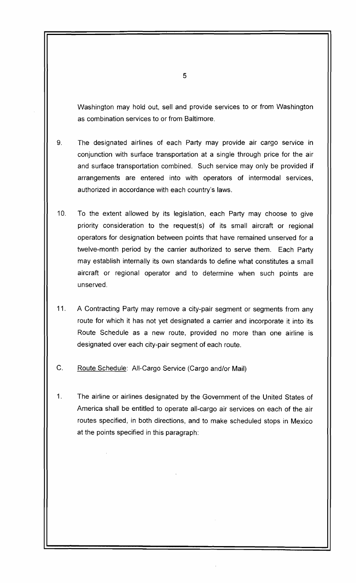Washington may hold out, sell and provide services to or from Washington as combination services to or from Baltimore.

- 9. The designated airlines of each Party may provide air cargo service in conjunction with surface transportation at a single through price for the air and surface transportation combined. Such service may only be provided if arrangements are entered into with operators of intermodal services, authorized in accordance with each country's laws.
- 10. To the extent allowed by its legislation, each Party may choose to give priority consideration to the request(s) of its small aircraft or regional operators for designation between points that have remained unserved for a twelve-month period by the carrier authorized to serve them. Each Party may establish internally its own standards to define what constitutes a small aircraft or regional operator and to determine when such points are unserved.
- 11. A Contracting Party may remove a city-pair segment or segments from any route for which it has not yet designated a carrier and incorporate it into its Route Schedule as a new route, provided no more than one airline is designated over each city-pair segment of each route.
- C. Route Schedule: All-Cargo Service (Cargo and/or Mail)
- 1. The airline or airlines designated by the Government of the United States of America shall be entitled to operate all-cargo air services on each of the air routes specified, in both directions, and to make scheduled stops in Mexico at the points specified in this paragraph: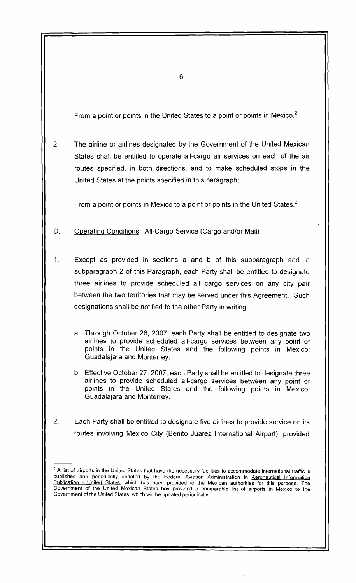From a point or points in the United States to a point or points in Mexico. $<sup>2</sup>$ </sup>

2. The airline or airlines designated by the Government of the United Mexican States shall be entitled to operate all-cargo air services on each of the air routes specified, in both directions, and to make scheduled stops in the United States at the points specified in this paragraph:

From a point or points in Mexico to a point or points in the United States.<sup>2</sup>

- D. Operating Conditions: All-Cargo Service (Cargo and/or Mail)
- 1. Except as provided in sections a and b of this subparagraph and in subparagraph 2 of this Paragraph, each Party shall be entitled to designate three airlines to provide scheduled all cargo services on any city pair between the two territories that may be served under this Agreement. Such designations shall be notified to the other Party in writing.
	- a. Through October 26, 2007, each Party shall be entitled to designate two airlines to provide scheduled all-cargo services between any point or points in the United States and the following points in Mexico: Guadalajara and Monterrey.
	- b. Effective October 27, 2007, each Party shall be entitled to designate three airlines to provide scheduled all-cargo services between any point or points in the United States and the following points in Mexico: Guadalajara and Monterrey.
- 2. Each Party shall be entitled to designate five airlines to provide service on its routes involving Mexico City (Benito Juarez International Airport), provided

<sup>&</sup>lt;sup>2</sup> A list of airports in the United States that have the necessary facilities to accommodate international traffic is published and periodically updated by the Federal Aviation Administration in Aeronautical Information Publication - United States, which has been provided to the Mexican authorities for this purpose. The Government of the United Mexican States has provided a comparable list of airports in Mexico to the Government of the United States, which will be updated periodically.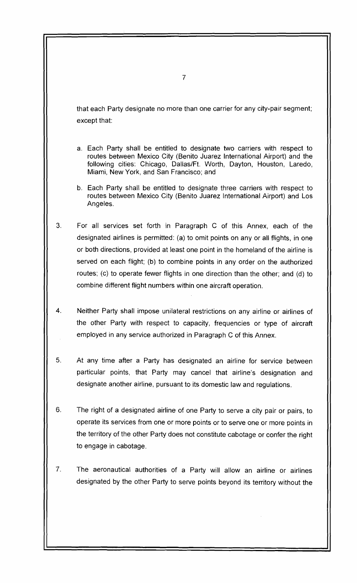that each Party designate no more than one carrier for any city-pair segment; except that:

- a. Each Party shall be entitled to designate two carriers with respect to routes between Mexico City (Benito Juarez International Airport) and the following cities: Chicaqo, Dalias/Ft. Worth, Dayton, Houston, Laredo, Miami, New York, and San Francisco; and
- b. Each Party shall be entitled to designate three carriers with respect to routes between Mexico City (Benito Juarez International Airport) and Los Angeles.
- 3. For all services set forth in Paragraph C of this Annex, each of the designated airlines is permitted: (a) to omit points on any or all flights, in one or both directions, provided at least one point in the homeland of the airline is served on each flight; (b) to combine points in any order on the authorized routes; (c) to operate fewer flights in one direction than the other; and (d) to combine different flight numbers within one aircraft operation.
- 4. Neither Party shall impose unilateral restrictions on any airline or airlines of the other Party with respect to capacity, frequencies or type of aircraft employed in any service authorized in Paragraph C of this Annex.
- 5. At any time after a Party has designated an airline for service between particular points, that Party may cancel that airline's designation and designate another airline, pursuant to its domestic law and regulations.
- 6. The right of a designated airline of one Party to serve a city pair or pairs, to operate its services from one or more points or to serve one or more points in the territory of the other Party does not constitute cabotage or confer the right to engage in cabotage.
- 7. The aeronautical authorities of a Party will allow an airline or airlines designated by the other Party to serve points beyond its territory without the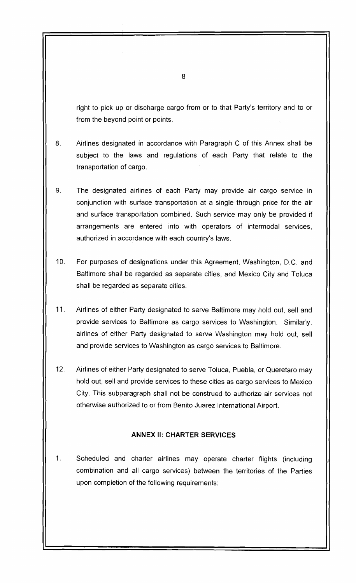right to pick up or discharge cargo from or to that Party's territory and to or from the beyond point or points.

- 8. Airlines designated in accordance with Paragraph C of this Annex shall be subject to the laws and regulations of each Party that relate to the transportation of cargo.
- 9. The designated airlines of each Party may provide air cargo service in conjunction with surface transportation at a single through price for the air and surface transportation combined. Such service may only be provided if arrangements are entered into with operators of intermodal services, authorized in accordance with each country's laws.
- 10. For purposes of designations under this Agreement, Washington, D.C. and Baltimore shall be regarded as separate cities, and Mexico City and Toluca shall be regarded as separate cities.
- 11. Airlines of either Party designated to serve Baltimore may hold out, sell and provide services to Baltimore as cargo services to Washington. Similarly, airlines of either Party designated to serve Washington may hold out, sell and provide services to Washington as cargo services to Baltimore.
- 12. Airlines of either Party designated to serve Toluca, Puebla, or Queretaro may hold out, sell and provide services to these cities as cargo services to Mexico City. This subparagraph shall not be construed to authorize air services not otherwise authorized to or from Benito Juarez International Airport.

# **ANNEX II: CHARTER SERVICES**

1. Scheduled and charter airlines may operate charter flights (including combination and all cargo services) between the territories of the Parties upon completion of the following requirements: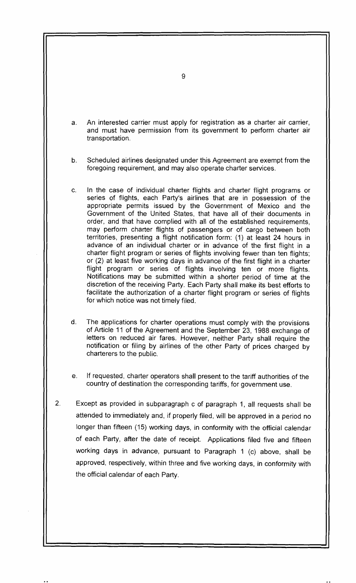a. An interested carrier must apply for registration as a charter air carrier, and must have permission from its government to perform charter air transportation.

b. Scheduled airlines designated under this Agreement are exempt from the foregoing requirement, and may also operate charter services.

- c. In the case of individual charter flights and charter flight programs or series of flights, each Party's airlines that are in possession of the appropriate permits issued by the Government of Mexico and the Government of the United States, that have all of their documents in order, and that have complied with all of the established requirements, may perform charter flights of passengers or of cargo between both territories, presenting a flight notification form: (1) at least 24 hours in advance of an individual charter or in advance of the first flight in a charter flight program or series of flights involving fewer than ten flights; or (2) at least five working days in advance of the first flight in a charter flight program or series of flights involving ten or more flights. Notifications may be submitted within a shorter period of time at the discretion of the receiving Party. Each Party shall make its best efforts to facilitate the authorization of a charter flight program or series of flights for which notice was not timely filed.
- d. The applications for charter operations must comply with the provisions of Article 11 of the Agreement and the September 23, 1988 exchange of letters on reduced air fares. However, neither Party shall require the notification or filing by airlines of the other Party of prices charged by charterers to the public.
- e. If requested, charter operators shall present to the tariff authorities of the country of destination the corresponding tariffs, for government use.
- 2. Except as provided in subparagraph c of paragraph 1, all requests shall be attended to immediately and, if properly filed, will be approved in a period no longer than fifteen (15) working days, in conformity with the official calendar of each Party, after the date of receipt. Applications filed five and fifteen working days in advance, pursuant to Paragraph 1 (c) above, shall be approved, respectively, within three and five working days, in conformity with the official calendar of each Party.